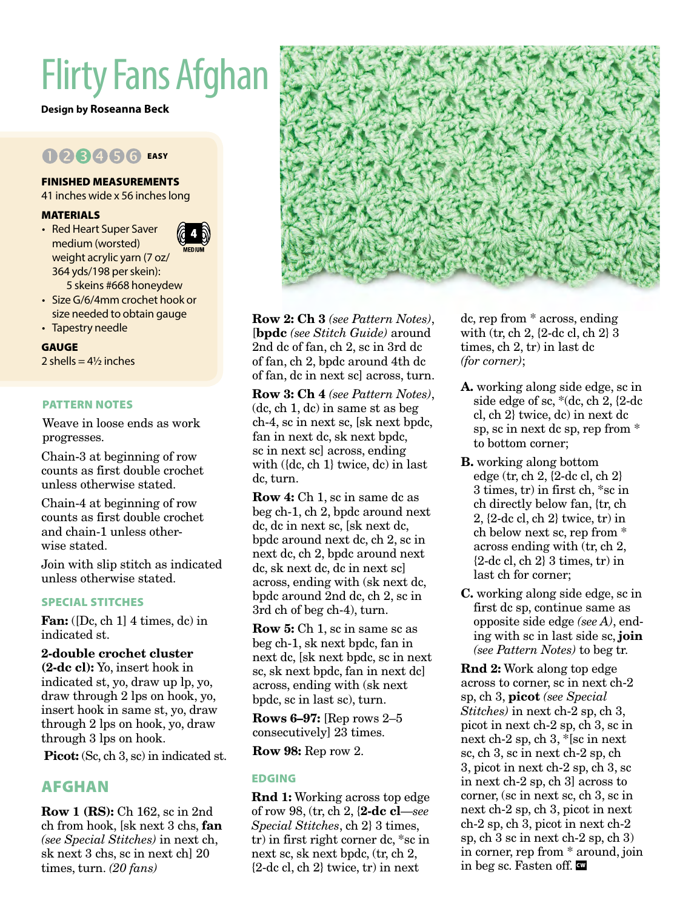# Flirty Fans Afghan

**Design by Roseanna Beck**

# 023456 EASY

# FINISHED MEASUREMENTS

41 inches wide x 56 inches long

# MATERIALS

- Red Heart Super Saver medium (worsted) weight acrylic yarn (7 oz/ 364 yds/198 per skein): 5 skeins #668 honeydew
- Size G/6/4mm crochet hook or size needed to obtain gauge
- Tapestry needle

# GAUGE

2 shells  $= 4\frac{1}{2}$  inches

# PATTERN NOTES

Weave in loose ends as work progresses.

Chain-3 at beginning of row counts as first double crochet unless otherwise stated.

Chain-4 at beginning of row counts as first double crochet and chain-1 unless otherwise stated.

Join with slip stitch as indicated unless otherwise stated.

# SPECIAL STITCHES

Fan: ([Dc, ch 1] 4 times, dc) in indicated st.

# 2-double crochet cluster

(2-dc cl): Yo, insert hook in indicated st, yo, draw up lp, yo, draw through 2 lps on hook, yo, insert hook in same st, yo, draw through 2 lps on hook, yo, draw through 3 lps on hook.

Picot: (Sc, ch 3, sc) in indicated st.

# AFGHAN

Row 1 (RS): Ch 162, sc in 2nd ch from hook, [sk next 3 chs, fan *(see Special Stitches)* in next ch, sk next 3 chs, sc in next ch] 20 times, turn. *(20 fans)*



Row 2: Ch 3 *(see Pattern Notes)*, [bpdc *(see Stitch Guide)* around 2nd dc of fan, ch 2, sc in 3rd dc of fan, ch 2, bpdc around 4th dc of fan, dc in next sc] across, turn.

Row 3: Ch 4 *(see Pattern Notes)*, (dc, ch 1, dc) in same st as beg ch-4, sc in next sc, [sk next bpdc, fan in next dc, sk next bpdc, sc in next sc] across, ending with ({dc, ch 1} twice, dc) in last dc, turn.

Row 4: Ch 1, sc in same dc as beg ch-1, ch 2, bpdc around next dc, dc in next sc, [sk next dc, bpdc around next dc, ch 2, sc in next dc, ch 2, bpdc around next dc, sk next dc, dc in next sc] across, ending with (sk next dc, bpdc around 2nd dc, ch 2, sc in 3rd ch of beg ch-4), turn.

Row 5: Ch 1, sc in same sc as beg ch-1, sk next bpdc, fan in next dc, [sk next bpdc, sc in next sc, sk next bpdc, fan in next dc] across, ending with (sk next bpdc, sc in last sc), turn.

Rows 6–97: [Rep rows  $2-5$ consecutively] 23 times.

Row 98: Rep row 2.

# EDGING

Rnd 1: Working across top edge of row 98, (tr, ch 2, {2-dc cl—*see Special Stitches*, ch 2} 3 times, tr) in first right corner dc, \*sc in next sc, sk next bpdc, (tr, ch 2, {2-dc cl, ch 2} twice, tr) in next

dc, rep from \* across, ending with (tr, ch 2, {2-dc cl, ch 2} 3 times, ch 2, tr) in last dc *(for corner)*;

- A. working along side edge, sc in side edge of sc, \*(dc, ch 2, {2-dc cl, ch 2} twice, dc) in next dc sp, sc in next dc sp, rep from \* to bottom corner;
- B. working along bottom edge (tr, ch 2, {2-dc cl, ch 2} 3 times, tr) in first ch, \*sc in ch directly below fan, {tr, ch 2, {2-dc cl, ch 2} twice, tr) in ch below next sc, rep from \* across ending with (tr, ch 2,  ${2-de cl, ch 2}$  3 times, tr) in last ch for corner;
- C. working along side edge, sc in first dc sp, continue same as opposite side edge *(see A)*, ending with sc in last side sc, join *(see Pattern Notes)* to beg tr.

Rnd 2: Work along top edge across to corner, sc in next ch-2 sp, ch 3, picot *(see Special Stitches)* in next ch-2 sp, ch 3, picot in next ch-2 sp, ch 3, sc in next ch-2 sp, ch 3, \*[sc in next sc, ch 3, sc in next ch-2 sp, ch 3, picot in next ch-2 sp, ch 3, sc in next ch-2 sp, ch 3] across to corner, (sc in next sc, ch 3, sc in next ch-2 sp, ch 3, picot in next ch-2 sp, ch 3, picot in next ch-2 sp, ch 3 sc in next ch-2 sp, ch 3) in corner, rep from \* around, join in beg sc. Fasten off.  $\blacksquare$ 

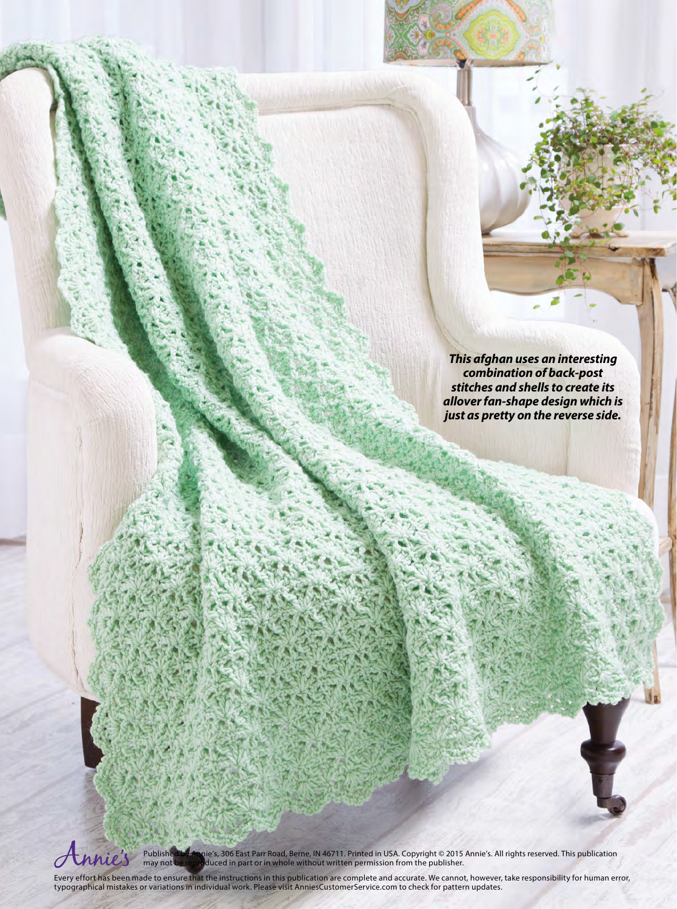*This afghan uses an interesting combination of back-post stitches and shells to create its allover fan-shape design which is just as pretty on the reverse side.*



Published by Annie′s, 306 East Parr Road, Berne, IN 46711. Printed in USA. Copyright © 2015 Annie′s. All rights reserved. This publication<br>may not be reproduced in part or in whole without written permission from the publ

Every effort has been made to ensure that the instructions in this publication are complete and accurate. We cannot, however, take responsibility for human error, typographical mistakes or variations in individual work. Please visit AnniesCustomerService.com to check for pattern updates.